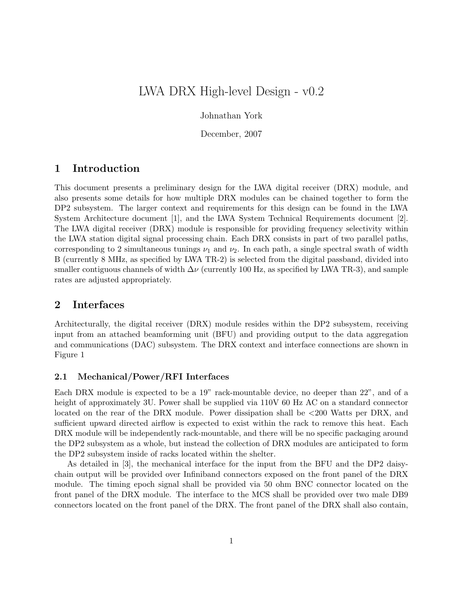# LWA DRX High-level Design - v0.2

Johnathan York

December, 2007

# 1 Introduction

This document presents a preliminary design for the LWA digital receiver (DRX) module, and also presents some details for how multiple DRX modules can be chained together to form the DP2 subsystem. The larger context and requirements for this design can be found in the LWA System Architecture document [1], and the LWA System Technical Requirements document [2]. The LWA digital receiver (DRX) module is responsible for providing frequency selectivity within the LWA station digital signal processing chain. Each DRX consists in part of two parallel paths, corresponding to 2 simultaneous tunings  $\nu_1$  and  $\nu_2$ . In each path, a single spectral swath of width B (currently 8 MHz, as specified by LWA TR-2) is selected from the digital passband, divided into smaller contiguous channels of width  $\Delta \nu$  (currently 100 Hz, as specified by LWA TR-3), and sample rates are adjusted appropriately.

## 2 Interfaces

Architecturally, the digital receiver (DRX) module resides within the DP2 subsystem, receiving input from an attached beamforming unit (BFU) and providing output to the data aggregation and communications (DAC) subsystem. The DRX context and interface connections are shown in Figure 1

#### 2.1 Mechanical/Power/RFI Interfaces

Each DRX module is expected to be a 19" rack-mountable device, no deeper than 22", and of a height of approximately 3U. Power shall be supplied via  $110V$  60 Hz AC on a standard connector located on the rear of the DRX module. Power dissipation shall be <200 Watts per DRX, and sufficient upward directed airflow is expected to exist within the rack to remove this heat. Each DRX module will be independently rack-mountable, and there will be no specific packaging around the DP2 subsystem as a whole, but instead the collection of DRX modules are anticipated to form the DP2 subsystem inside of racks located within the shelter.

As detailed in [3], the mechanical interface for the input from the BFU and the DP2 daisychain output will be provided over Infiniband connectors exposed on the front panel of the DRX module. The timing epoch signal shall be provided via 50 ohm BNC connector located on the front panel of the DRX module. The interface to the MCS shall be provided over two male DB9 connectors located on the front panel of the DRX. The front panel of the DRX shall also contain,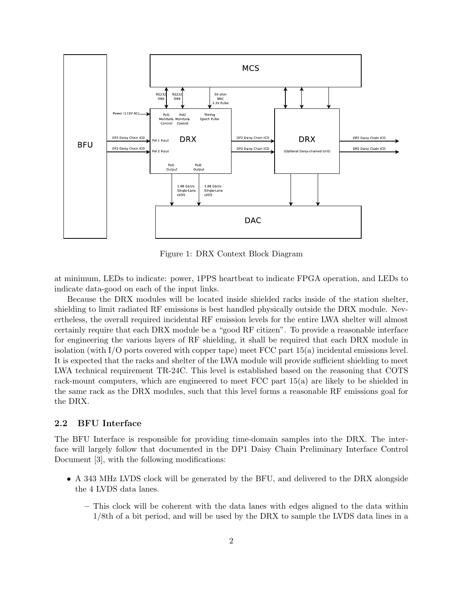

Figure 1: DRX Context Block Diagram

at minimum, LEDs to indicate: power, 1PPS heartbeat to indicate FPGA operation, and LEDs to indicate data-good on each of the input links.

Because the DRX modules will be located inside shielded racks inside of the station shelter, shielding to limit radiated RF emissions is best handled physically outside the DRX module. Nevertheless, the overall required incidental RF emission levels for the entire LWA shelter will almost certainly require that each DRX module be a "good RF citizen". To provide a reasonable interface for engineering the various layers of RF shielding, it shall be required that each DRX module in isolation (with I/O ports covered with copper tape) meet FCC part 15(a) incidental emissions level. It is expected that the racks and shelter of the LWA module will provide sufficient shielding to meet LWA technical requirement TR-24C. This level is established based on the reasoning that COTS rack-mount computers, which are engineered to meet FCC part 15(a) are likely to be shielded in the same rack as the DRX modules, such that this level forms a reasonable RF emissions goal for the DRX.

#### 2.2 BFU Interface

The BFU Interface is responsible for providing time-domain samples into the DRX. The interface will largely follow that documented in the DP1 Daisy Chain Preliminary Interface Control Document [3], with the following modifications:

- A 343 MHz LVDS clock will be generated by the BFU, and delivered to the DRX alongside the 4 LVDS data lanes.
	- This clock will be coherent with the data lanes with edges aligned to the data within 1/8th of a bit period, and will be used by the DRX to sample the LVDS data lines in a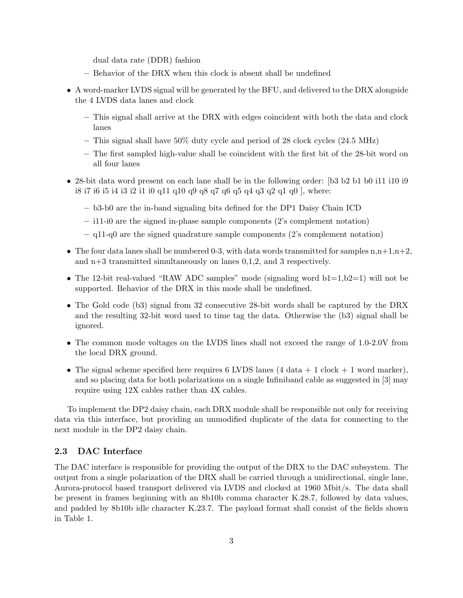dual data rate (DDR) fashion

- Behavior of the DRX when this clock is absent shall be undefined
- A word-marker LVDS signal will be generated by the BFU, and delivered to the DRX alongside the 4 LVDS data lanes and clock
	- This signal shall arrive at the DRX with edges coincident with both the data and clock lanes
	- This signal shall have 50% duty cycle and period of 28 clock cycles (24.5 MHz)
	- The first sampled high-value shall be coincident with the first bit of the 28-bit word on all four lanes
- 28-bit data word present on each lane shall be in the following order: [b3 b2 b1 b0 i11 i10 i9 i8 i7 i6 i5 i4 i3 i2 i1 i0 q11 q10 q9 q8 q7 q6 q5 q4 q3 q2 q1 q0 ], where:
	- b3-b0 are the in-band signaling bits defined for the DP1 Daisy Chain ICD
	- i11-i0 are the signed in-phase sample components (2's complement notation)
	- $-$  q11-q0 are the signed quadrature sample components (2's complement notation)
- The four data lanes shall be numbered 0-3, with data words transmitted for samples  $n, n+1, n+2$ , and n+3 transmitted simultaneously on lanes 0,1,2, and 3 respectively.
- The 12-bit real-valued "RAW ADC samples" mode (signaling word  $b1=1, b2=1$ ) will not be supported. Behavior of the DRX in this mode shall be undefined.
- The Gold code (b3) signal from 32 consecutive 28-bit words shall be captured by the DRX and the resulting 32-bit word used to time tag the data. Otherwise the (b3) signal shall be ignored.
- The common mode voltages on the LVDS lines shall not exceed the range of 1.0-2.0V from the local DRX ground.
- The signal scheme specified here requires 6 LVDS lanes  $(4 \text{ data } + 1 \text{ clock } + 1 \text{ word marker})$ , and so placing data for both polarizations on a single Infiniband cable as suggested in [3] may require using 12X cables rather than 4X cables.

To implement the DP2 daisy chain, each DRX module shall be responsible not only for receiving data via this interface, but providing an unmodified duplicate of the data for connecting to the next module in the DP2 daisy chain.

#### 2.3 DAC Interface

The DAC interface is responsible for providing the output of the DRX to the DAC subsystem. The output from a single polarization of the DRX shall be carried through a unidirectional, single lane, Aurora-protocol based transport delivered via LVDS and clocked at 1960 Mbit/s. The data shall be present in frames beginning with an 8b10b comma character K.28.7, followed by data values, and padded by 8b10b idle character K.23.7. The payload format shall consist of the fields shown in Table 1.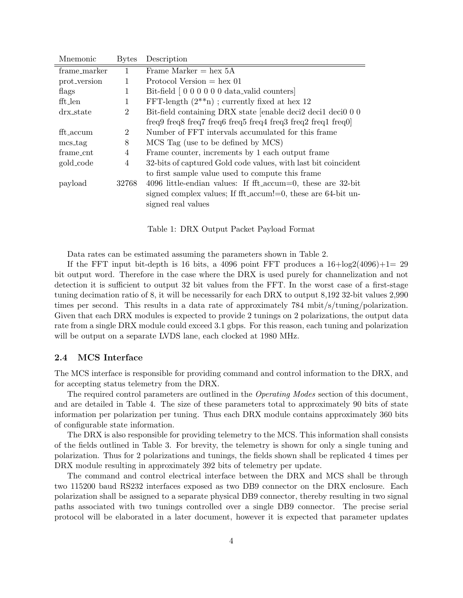| Mnemonic     | <b>Bytes</b>   | Description                                                     |
|--------------|----------------|-----------------------------------------------------------------|
| frame_marker |                | Frame Marker $=$ hex 5A                                         |
| prot_version | 1              | Protocol Version $=$ hex 01                                     |
| flags        | 1              | Bit-field [0000000 data_valid counters]                         |
| fft_len      | 1              | FFT-length $(2^{**}n)$ ; currently fixed at hex 12              |
| drx_state    | $\overline{2}$ | Bit-field containing DRX state [enable deci2 deci1 deci0 0 0    |
|              |                | freq9 freq8 freq7 freq6 freq5 freq4 freq3 freq2 freq1 freq $0$  |
| fft_accum    | 2              | Number of FFT intervals accumulated for this frame              |
| mcs_tag      | 8              | MCS Tag (use to be defined by MCS)                              |
| frame_cnt    | 4              | Frame counter, increments by 1 each output frame                |
| gold_code    | 4              | 32-bits of captured Gold code values, with last bit coincident  |
|              |                | to first sample value used to compute this frame                |
| payload      | 32768          | 4096 little-endian values: If fft_accum=0, these are $32$ -bit  |
|              |                | signed complex values; If fft_accum!=0, these are $64$ -bit un- |
|              |                | signed real values                                              |
|              |                |                                                                 |

Table 1: DRX Output Packet Payload Format

Data rates can be estimated assuming the parameters shown in Table 2.

If the FFT input bit-depth is 16 bits, a 4096 point FFT produces a  $16 + \log(2(4096) + 1 = 29$ bit output word. Therefore in the case where the DRX is used purely for channelization and not detection it is sufficient to output 32 bit values from the FFT. In the worst case of a first-stage tuning decimation ratio of 8, it will be necessarily for each DRX to output 8,192 32-bit values 2,990 times per second. This results in a data rate of approximately 784 mbit/s/tuning/polarization. Given that each DRX modules is expected to provide 2 tunings on 2 polarizations, the output data rate from a single DRX module could exceed 3.1 gbps. For this reason, each tuning and polarization will be output on a separate LVDS lane, each clocked at 1980 MHz.

#### 2.4 MCS Interface

The MCS interface is responsible for providing command and control information to the DRX, and for accepting status telemetry from the DRX.

The required control parameters are outlined in the *Operating Modes* section of this document, and are detailed in Table 4. The size of these parameters total to approximately 90 bits of state information per polarization per tuning. Thus each DRX module contains approximately 360 bits of configurable state information.

The DRX is also responsible for providing telemetry to the MCS. This information shall consists of the fields outlined in Table 3. For brevity, the telemetry is shown for only a single tuning and polarization. Thus for 2 polarizations and tunings, the fields shown shall be replicated 4 times per DRX module resulting in approximately 392 bits of telemetry per update.

The command and control electrical interface between the DRX and MCS shall be through two 115200 baud RS232 interfaces exposed as two DB9 connector on the DRX enclosure. Each polarization shall be assigned to a separate physical DB9 connector, thereby resulting in two signal paths associated with two tunings controlled over a single DB9 connector. The precise serial protocol will be elaborated in a later document, however it is expected that parameter updates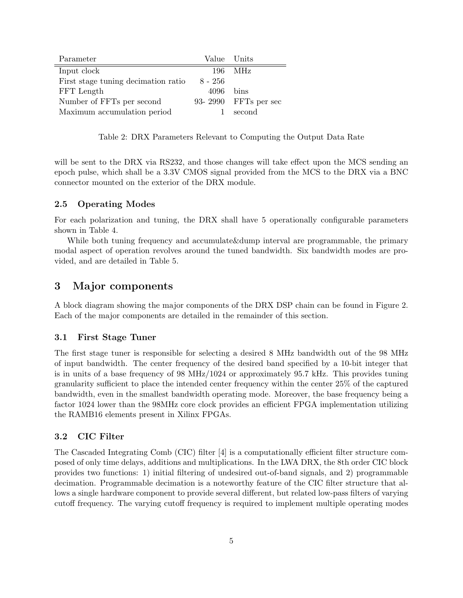| Parameter                           | Value Units |                      |
|-------------------------------------|-------------|----------------------|
| Input clock                         | 196-        | – MHz                |
| First stage tuning decimation ratio | 8 - 256     |                      |
| FFT Length                          | $4096$ bins |                      |
| Number of FFTs per second           |             | 93-2990 FFTs per sec |
| Maximum accumulation period         | Т.          | second               |

Table 2: DRX Parameters Relevant to Computing the Output Data Rate

will be sent to the DRX via RS232, and those changes will take effect upon the MCS sending an epoch pulse, which shall be a 3.3V CMOS signal provided from the MCS to the DRX via a BNC connector mounted on the exterior of the DRX module.

#### 2.5 Operating Modes

For each polarization and tuning, the DRX shall have 5 operationally configurable parameters shown in Table 4.

While both tuning frequency and accumulate&dump interval are programmable, the primary modal aspect of operation revolves around the tuned bandwidth. Six bandwidth modes are provided, and are detailed in Table 5.

## 3 Major components

A block diagram showing the major components of the DRX DSP chain can be found in Figure 2. Each of the major components are detailed in the remainder of this section.

#### 3.1 First Stage Tuner

The first stage tuner is responsible for selecting a desired 8 MHz bandwidth out of the 98 MHz of input bandwidth. The center frequency of the desired band specified by a 10-bit integer that is in units of a base frequency of 98 MHz/1024 or approximately 95.7 kHz. This provides tuning granularity sufficient to place the intended center frequency within the center 25% of the captured bandwidth, even in the smallest bandwidth operating mode. Moreover, the base frequency being a factor 1024 lower than the 98MHz core clock provides an efficient FPGA implementation utilizing the RAMB16 elements present in Xilinx FPGAs.

#### 3.2 CIC Filter

The Cascaded Integrating Comb (CIC) filter [4] is a computationally efficient filter structure composed of only time delays, additions and multiplications. In the LWA DRX, the 8th order CIC block provides two functions: 1) initial filtering of undesired out-of-band signals, and 2) programmable decimation. Programmable decimation is a noteworthy feature of the CIC filter structure that allows a single hardware component to provide several different, but related low-pass filters of varying cutoff frequency. The varying cutoff frequency is required to implement multiple operating modes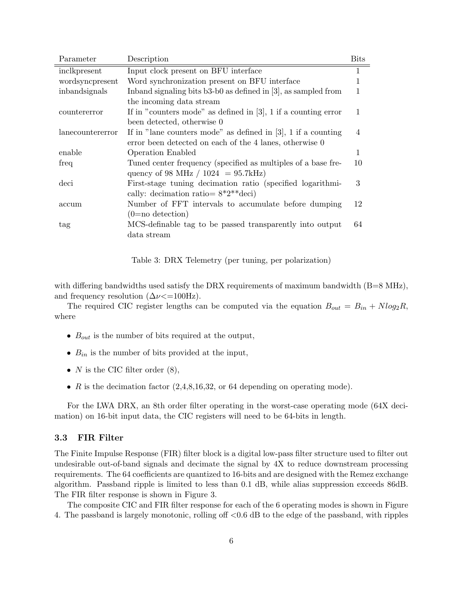| Parameter        | Description                                                       | Bits           |
|------------------|-------------------------------------------------------------------|----------------|
| inclkpresent     | Input clock present on BFU interface                              | 1              |
| wordsyncpresent  | Word synchronization present on BFU interface                     | 1              |
| inbandsignals    | In band signaling bits $b3-b0$ as defined in [3], as sampled from |                |
|                  | the incoming data stream                                          |                |
| countererror     | If in "counters mode" as defined in $[3]$ , 1 if a counting error | 1              |
|                  | been detected, otherwise 0                                        |                |
| lanecountererror | If in "lane counters mode" as defined in $[3]$ , 1 if a counting  | $\overline{4}$ |
|                  | error been detected on each of the 4 lanes, otherwise 0           |                |
| enable           | <b>Operation Enabled</b>                                          | 1              |
| freq             | Tuned center frequency (specified as multiples of a base fre-     | 10             |
|                  | quency of 98 MHz / $1024 = 95.7kHz$ )                             |                |
| deci             | First-stage tuning decimation ratio (specified logarithmi-        | 3              |
|                  | cally: decimation ratio = $8*2**$ deci)                           |                |
| accum            | Number of FFT intervals to accumulate before dumping              | 12             |
|                  | $(0=no \,\, detection)$                                           |                |
| tag              | MCS-definable tag to be passed transparently into output          | 64             |
|                  | data stream                                                       |                |

Table 3: DRX Telemetry (per tuning, per polarization)

with differing bandwidths used satisfy the DRX requirements of maximum bandwidth  $(B=8 \text{ MHz})$ , and frequency resolution  $(\Delta \nu \langle =100Hz).$ 

The required CIC register lengths can be computed via the equation  $B_{out} = B_{in} + N \log_2 R$ , where

- $B_{out}$  is the number of bits required at the output,
- $B_{in}$  is the number of bits provided at the input,
- $N$  is the CIC filter order  $(8)$ ,
- $R$  is the decimation factor (2,4,8,16,32, or 64 depending on operating mode).

For the LWA DRX, an 8th order filter operating in the worst-case operating mode (64X decimation) on 16-bit input data, the CIC registers will need to be 64-bits in length.

#### 3.3 FIR Filter

The Finite Impulse Response (FIR) filter block is a digital low-pass filter structure used to filter out undesirable out-of-band signals and decimate the signal by 4X to reduce downstream processing requirements. The 64 coefficients are quantized to 16-bits and are designed with the Remez exchange algorithm. Passband ripple is limited to less than 0.1 dB, while alias suppression exceeds 86dB. The FIR filter response is shown in Figure 3.

The composite CIC and FIR filter response for each of the 6 operating modes is shown in Figure 4. The passband is largely monotonic, rolling off <0.6 dB to the edge of the passband, with ripples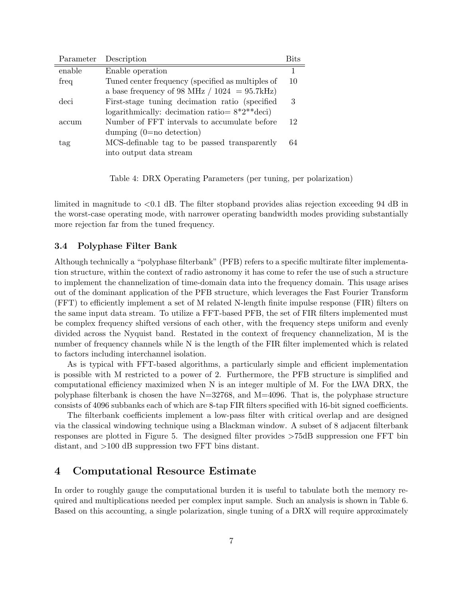| Parameter | Description                                       | Rits |
|-----------|---------------------------------------------------|------|
| enable    | Enable operation                                  |      |
| freq      | Tuned center frequency (specified as multiples of | 10   |
|           | a base frequency of 98 MHz $/ 1024 = 95.7$ kHz)   |      |
| deci      | First-stage tuning decimation ratio (specified)   | 3    |
|           | logarithmically: decimation ratio= $8*2**$ deci)  |      |
| accum     | Number of FFT intervals to accumulate before      | 12   |
|           | dumping $(0=$ no detection)                       |      |
| tag       | MCS-definable tag to be passed transparently      | 64   |
|           | into output data stream                           |      |

Table 4: DRX Operating Parameters (per tuning, per polarization)

limited in magnitude to <0.1 dB. The filter stopband provides alias rejection exceeding 94 dB in the worst-case operating mode, with narrower operating bandwidth modes providing substantially more rejection far from the tuned frequency.

#### 3.4 Polyphase Filter Bank

Although technically a "polyphase filterbank" (PFB) refers to a specific multirate filter implementation structure, within the context of radio astronomy it has come to refer the use of such a structure to implement the channelization of time-domain data into the frequency domain. This usage arises out of the dominant application of the PFB structure, which leverages the Fast Fourier Transform (FFT) to efficiently implement a set of M related N-length finite impulse response (FIR) filters on the same input data stream. To utilize a FFT-based PFB, the set of FIR filters implemented must be complex frequency shifted versions of each other, with the frequency steps uniform and evenly divided across the Nyquist band. Restated in the context of frequency channelization, M is the number of frequency channels while N is the length of the FIR filter implemented which is related to factors including interchannel isolation.

As is typical with FFT-based algorithms, a particularly simple and efficient implementation is possible with M restricted to a power of 2. Furthermore, the PFB structure is simplified and computational efficiency maximized when N is an integer multiple of M. For the LWA DRX, the polyphase filterbank is chosen the have  $N=32768$ , and  $M=4096$ . That is, the polyphase structure consists of 4096 subbanks each of which are 8-tap FIR filters specified with 16-bit signed coefficients.

The filterbank coefficients implement a low-pass filter with critical overlap and are designed via the classical windowing technique using a Blackman window. A subset of 8 adjacent filterbank responses are plotted in Figure 5. The designed filter provides >75dB suppression one FFT bin distant, and >100 dB suppression two FFT bins distant.

## 4 Computational Resource Estimate

In order to roughly gauge the computational burden it is useful to tabulate both the memory required and multiplications needed per complex input sample. Such an analysis is shown in Table 6. Based on this accounting, a single polarization, single tuning of a DRX will require approximately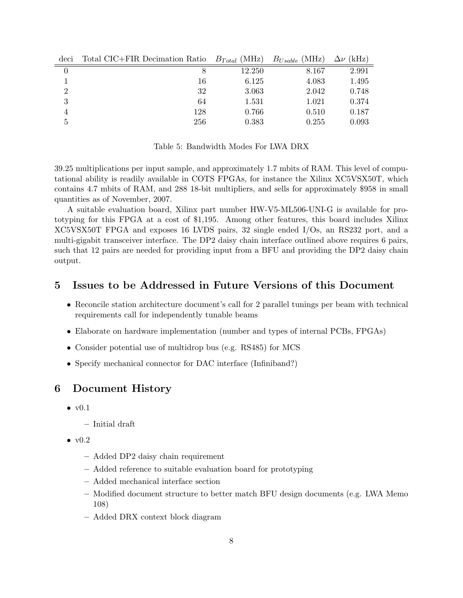| deci     | Total CIC+FIR Decimation Ratio $B_{Total}$ (MHz) |        | $B_{Usable}$ (MHz) | $\Delta \nu$ (kHz) |
|----------|--------------------------------------------------|--------|--------------------|--------------------|
|          |                                                  | 12.250 | 8.167              | 2.991              |
|          | 16                                               | 6.125  | 4.083              | 1.495              |
| $\Omega$ | 32                                               | 3.063  | 2.042              | 0.748              |
| 3        | 64                                               | 1.531  | 1.021              | 0.374              |
| 4        | 128                                              | 0.766  | 0.510              | 0.187              |
| 5        | 256                                              | 0.383  | 0.255              | 0.093              |

Table 5: Bandwidth Modes For LWA DRX

39.25 multiplications per input sample, and approximately 1.7 mbits of RAM. This level of computational ability is readily available in COTS FPGAs, for instance the Xilinx XC5VSX50T, which contains 4.7 mbits of RAM, and 288 18-bit multipliers, and sells for approximately \$958 in small quantities as of November, 2007.

A suitable evaluation board, Xilinx part number HW-V5-ML506-UNI-G is available for prototyping for this FPGA at a cost of \$1,195. Among other features, this board includes Xilinx XC5VSX50T FPGA and exposes 16 LVDS pairs, 32 single ended I/Os, an RS232 port, and a multi-gigabit transceiver interface. The DP2 daisy chain interface outlined above requires 6 pairs, such that 12 pairs are needed for providing input from a BFU and providing the DP2 daisy chain output.

## 5 Issues to be Addressed in Future Versions of this Document

- Reconcile station architecture document's call for 2 parallel tunings per beam with technical requirements call for independently tunable beams
- Elaborate on hardware implementation (number and types of internal PCBs, FPGAs)
- Consider potential use of multidrop bus (e.g. RS485) for MCS
- Specify mechanical connector for DAC interface (Infiniband?)

## 6 Document History

- $\bullet$  v $0.1$ 
	- Initial draft
- $\bullet$  v $0.2$ 
	- Added DP2 daisy chain requirement
	- Added reference to suitable evaluation board for prototyping
	- Added mechanical interface section
	- Modified document structure to better match BFU design documents (e.g. LWA Memo 108)
	- Added DRX context block diagram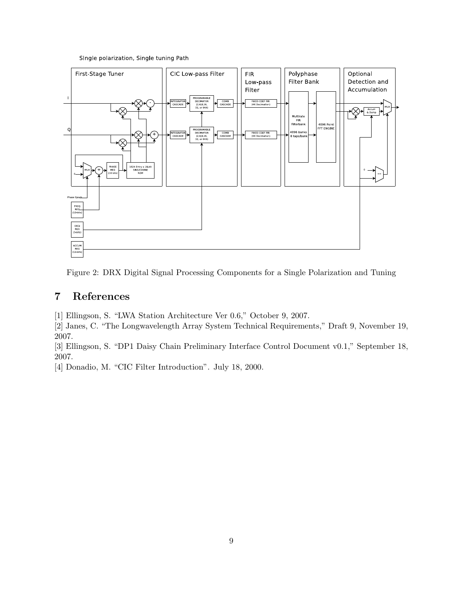Single polarization, Single tuning Path



Figure 2: DRX Digital Signal Processing Components for a Single Polarization and Tuning

# 7 References

[1] Ellingson, S. "LWA Station Architecture Ver 0.6," October 9, 2007.

[2] Janes, C. "The Longwavelength Array System Technical Requirements," Draft 9, November 19, 2007.

[3] Ellingson, S. "DP1 Daisy Chain Preliminary Interface Control Document v0.1," September 18, 2007.

[4] Donadio, M. "CIC Filter Introduction". July 18, 2000.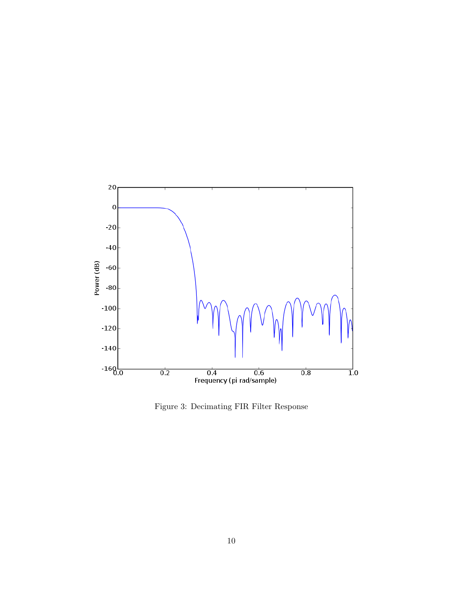

Figure 3: Decimating FIR Filter Response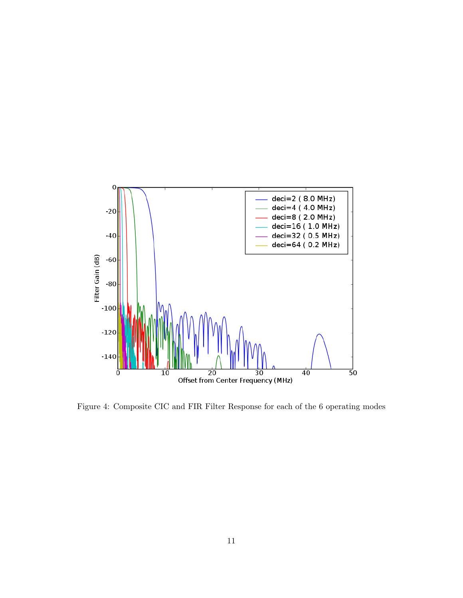

Figure 4: Composite CIC and FIR Filter Response for each of the 6 operating modes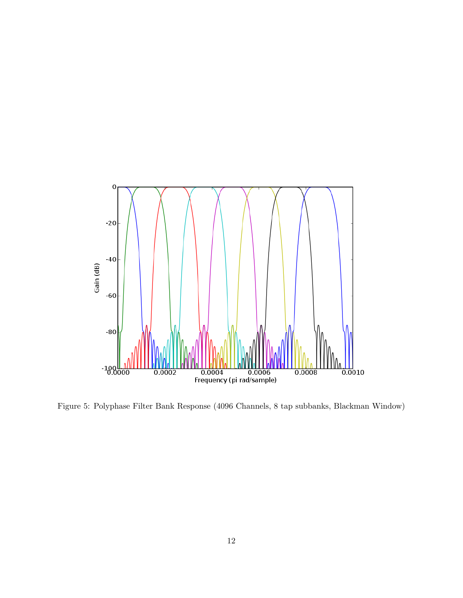

Figure 5: Polyphase Filter Bank Response (4096 Channels, 8 tap subbanks, Blackman Window)